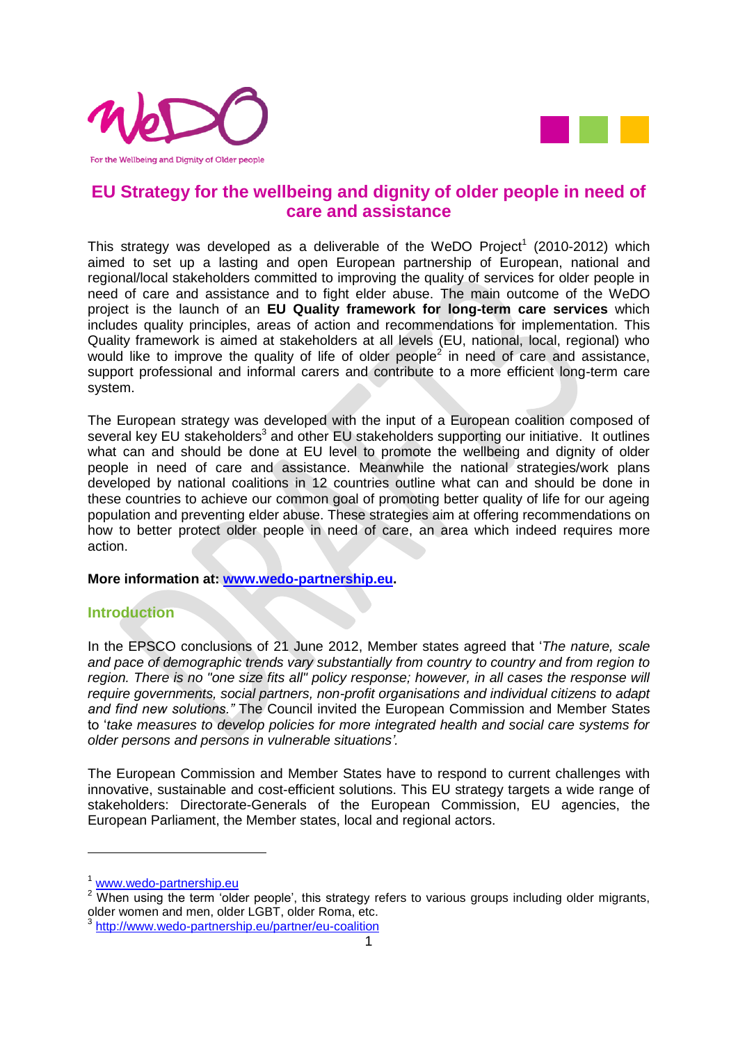



#### **EU Strategy for the wellbeing and dignity of older people in need of care and assistance**

This strategy was developed as a deliverable of the WeDO Project<sup>1</sup> (2010-2012) which aimed to set up a lasting and open European partnership of European, national and regional/local stakeholders committed to improving the quality of services for older people in need of care and assistance and to fight elder abuse. The main outcome of the WeDO project is the launch of an **EU Quality framework for long-term care services** which includes quality principles, areas of action and recommendations for implementation. This Quality framework is aimed at stakeholders at all levels (EU, national, local, regional) who would like to improve the quality of life of older people<sup>2</sup> in need of care and assistance, support professional and informal carers and contribute to a more efficient long-term care system.

The European strategy was developed with the input of a European coalition composed of several key EU stakeholders<sup>3</sup> and other EU stakeholders supporting our initiative. It outlines what can and should be done at EU level to promote the wellbeing and dignity of older people in need of care and assistance. Meanwhile the national strategies/work plans developed by national coalitions in 12 countries outline what can and should be done in these countries to achieve our common goal of promoting better quality of life for our ageing population and preventing elder abuse. These strategies aim at offering recommendations on how to better protect older people in need of care, an area which indeed requires more action.

**More information at: [www.wedo-partnership.eu.](http://www.wedo-partnership.eu/)** 

#### **Introduction**

In the EPSCO conclusions of 21 June 2012, Member states agreed that '*The nature, scale and pace of demographic trends vary substantially from country to country and from region to*  region. There is no "one size fits all" policy response; however, in all cases the response will *require governments, social partners, non-profit organisations and individual citizens to adapt and find new solutions."* The Council invited the European Commission and Member States to '*take measures to develop policies for more integrated health and social care systems for older persons and persons in vulnerable situations'.*

The European Commission and Member States have to respond to current challenges with innovative, sustainable and cost-efficient solutions. This EU strategy targets a wide range of stakeholders: Directorate-Generals of the European Commission, EU agencies, the European Parliament, the Member states, local and regional actors.

1

<sup>&</sup>lt;sup>1</sup> [www.wedo-partnership.eu](http://www.wedo-partnership.eu/)

<sup>&</sup>lt;sup>2</sup> When using the term 'older people', this strategy refers to various groups including older migrants, older women and men, older LGBT, older Roma, etc.<br>3 http://www.wede.nertpership.ou/pertper/ou.coolition

<http://www.wedo-partnership.eu/partner/eu-coalition>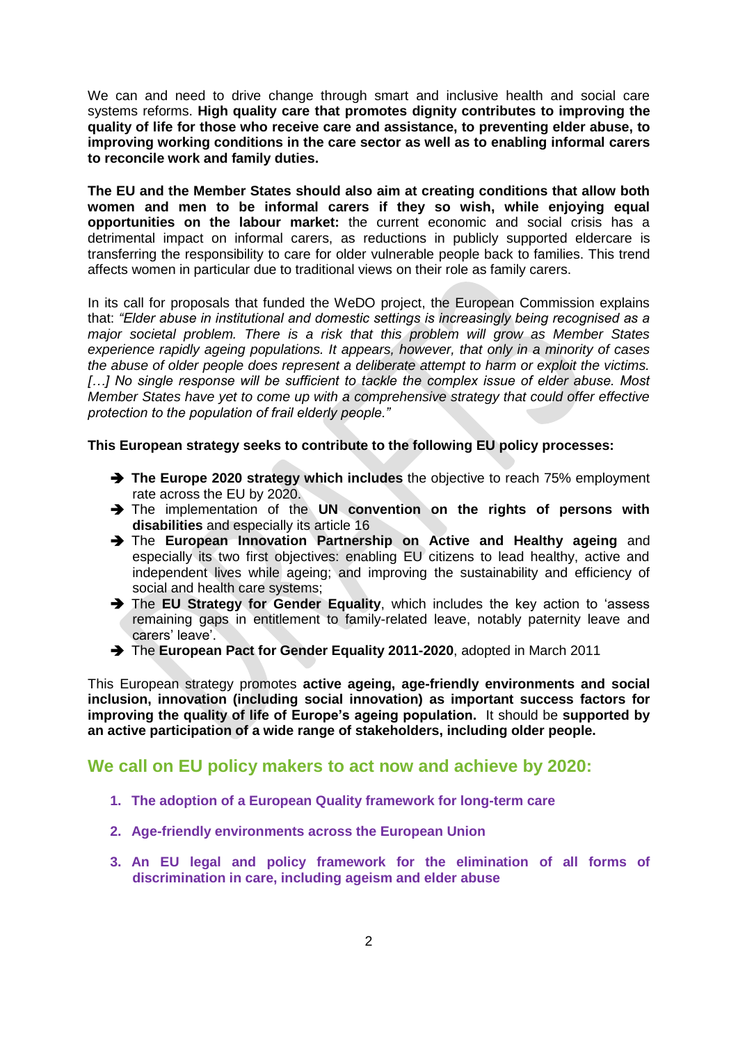We can and need to drive change through smart and inclusive health and social care systems reforms. **High quality care that promotes dignity contributes to improving the quality of life for those who receive care and assistance, to preventing elder abuse, to improving working conditions in the care sector as well as to enabling informal carers to reconcile work and family duties.**

**The EU and the Member States should also aim at creating conditions that allow both women and men to be informal carers if they so wish, while enjoying equal opportunities on the labour market:** the current economic and social crisis has a detrimental impact on informal carers, as reductions in publicly supported eldercare is transferring the responsibility to care for older vulnerable people back to families. This trend affects women in particular due to traditional views on their role as family carers.

In its call for proposals that funded the WeDO project, the European Commission explains that: *"Elder abuse in institutional and domestic settings is increasingly being recognised as a major societal problem. There is a risk that this problem will grow as Member States experience rapidly ageing populations. It appears, however, that only in a minority of cases the abuse of older people does represent a deliberate attempt to harm or exploit the victims. […] No single response will be sufficient to tackle the complex issue of elder abuse. Most Member States have yet to come up with a comprehensive strategy that could offer effective protection to the population of frail elderly people."* 

**This European strategy seeks to contribute to the following EU policy processes:**

- **The Europe 2020 strategy which includes** the objective to reach 75% employment rate across the EU by 2020.
- The implementation of the **UN convention on the rights of persons with disabilities** and especially its article 16
- The **European Innovation Partnership on Active and Healthy ageing** and especially its two first objectives: enabling EU citizens to lead healthy, active and independent lives while ageing; and improving the sustainability and efficiency of social and health care systems;
- The **EU Strategy for Gender Equality**, which includes the key action to 'assess remaining gaps in entitlement to family-related leave, notably paternity leave and carers' leave'.
- → The **European Pact for Gender Equality 2011-2020**, adopted in March 2011

This European strategy promotes **active ageing, age-friendly environments and social inclusion, innovation (including social innovation) as important success factors for improving the quality of life of Europe's ageing population.** It should be **supported by an active participation of a wide range of stakeholders, including older people.**

#### **We call on EU policy makers to act now and achieve by 2020:**

- **1. The adoption of a European Quality framework for long-term care**
- **2. Age-friendly environments across the European Union**
- **3. An EU legal and policy framework for the elimination of all forms of discrimination in care, including ageism and elder abuse**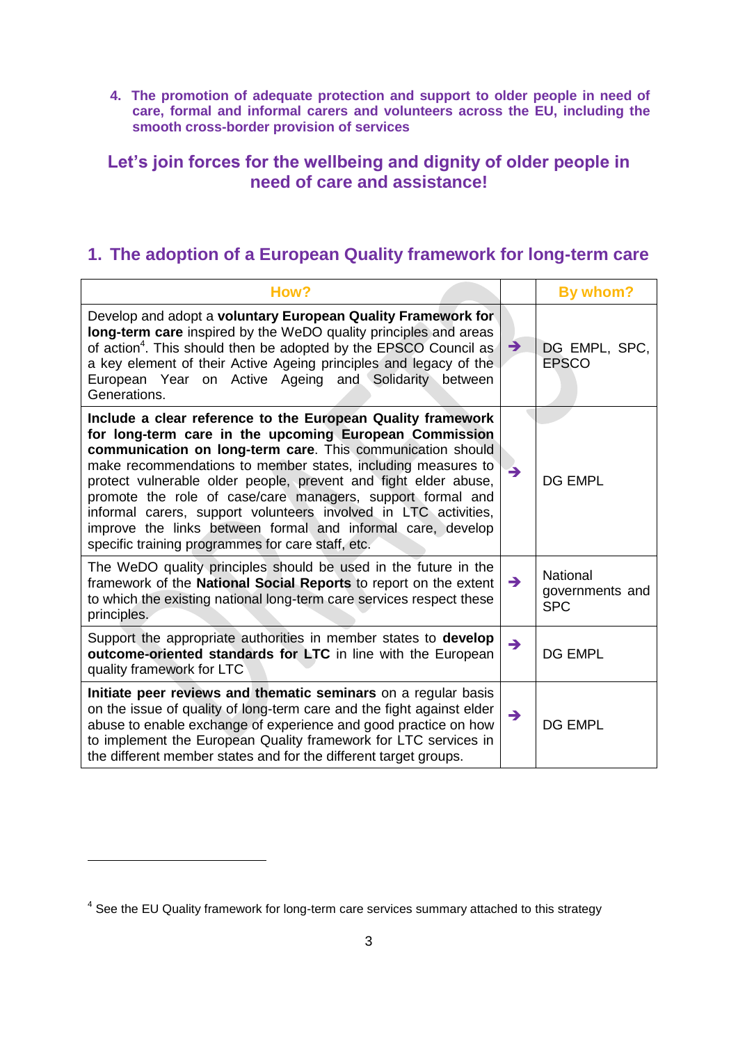**4. The promotion of adequate protection and support to older people in need of care, formal and informal carers and volunteers across the EU, including the smooth cross-border provision of services**

#### **Let's join forces for the wellbeing and dignity of older people in need of care and assistance!**

### **1. The adoption of a European Quality framework for long-term care**

| How?                                                                                                                                                                                                                                                                                                                                                                                                                                                                                                                                                                        |               | By whom?                                         |
|-----------------------------------------------------------------------------------------------------------------------------------------------------------------------------------------------------------------------------------------------------------------------------------------------------------------------------------------------------------------------------------------------------------------------------------------------------------------------------------------------------------------------------------------------------------------------------|---------------|--------------------------------------------------|
| Develop and adopt a voluntary European Quality Framework for<br>long-term care inspired by the WeDO quality principles and areas<br>of action <sup>4</sup> . This should then be adopted by the EPSCO Council as<br>a key element of their Active Ageing principles and legacy of the<br>European Year on Active Ageing and Solidarity between<br>Generations.                                                                                                                                                                                                              | $\rightarrow$ | DG EMPL, SPC,<br><b>EPSCO</b>                    |
| Include a clear reference to the European Quality framework<br>for long-term care in the upcoming European Commission<br>communication on long-term care. This communication should<br>make recommendations to member states, including measures to<br>protect vulnerable older people, prevent and fight elder abuse,<br>promote the role of case/care managers, support formal and<br>informal carers, support volunteers involved in LTC activities,<br>improve the links between formal and informal care, develop<br>specific training programmes for care staff, etc. | $\rightarrow$ | <b>DG EMPL</b>                                   |
| The WeDO quality principles should be used in the future in the<br>framework of the National Social Reports to report on the extent<br>to which the existing national long-term care services respect these<br>principles.                                                                                                                                                                                                                                                                                                                                                  | $\rightarrow$ | <b>National</b><br>governments and<br><b>SPC</b> |
| Support the appropriate authorities in member states to <b>develop</b><br>outcome-oriented standards for LTC in line with the European<br>quality framework for LTC                                                                                                                                                                                                                                                                                                                                                                                                         | $\rightarrow$ | <b>DG EMPL</b>                                   |
| Initiate peer reviews and thematic seminars on a regular basis<br>on the issue of quality of long-term care and the fight against elder<br>abuse to enable exchange of experience and good practice on how<br>to implement the European Quality framework for LTC services in<br>the different member states and for the different target groups.                                                                                                                                                                                                                           | $\rightarrow$ | <b>DG EMPL</b>                                   |

1

<sup>&</sup>lt;sup>4</sup> See the EU Quality framework for long-term care services summary attached to this strategy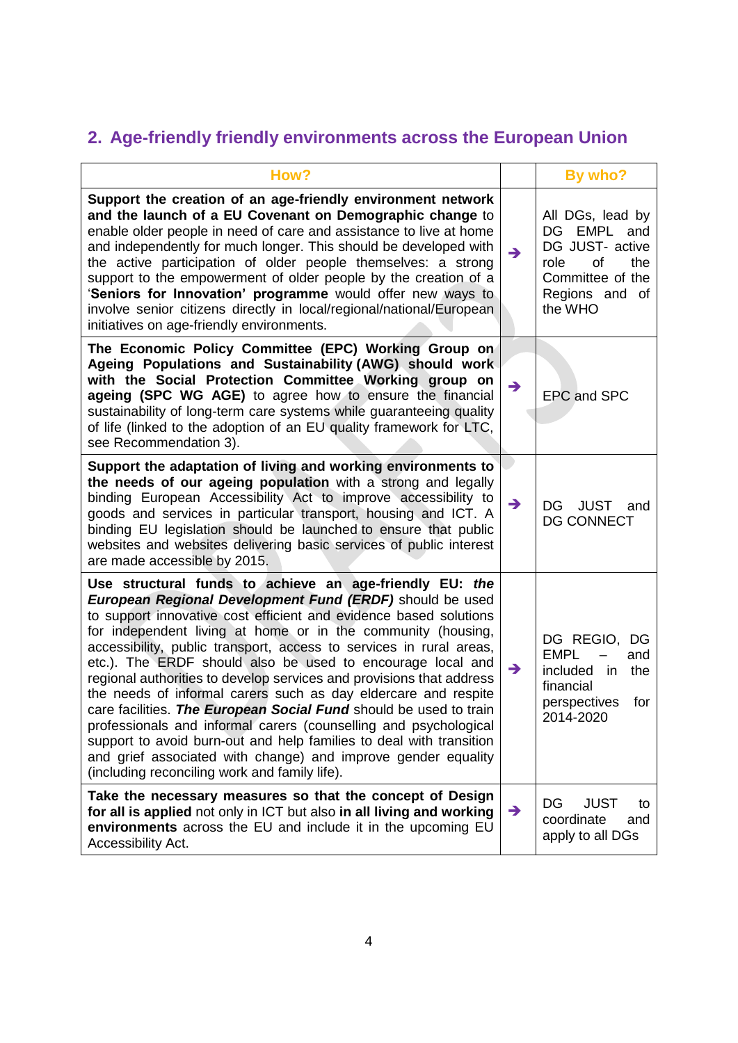# **2. Age-friendly friendly environments across the European Union**

| How?                                                                                                                                                                                                                                                                                                                                                                                                                                                                                                                                                                                                                                                                                                                                                                                                                                                                      |               | By who?                                                                                                                  |
|---------------------------------------------------------------------------------------------------------------------------------------------------------------------------------------------------------------------------------------------------------------------------------------------------------------------------------------------------------------------------------------------------------------------------------------------------------------------------------------------------------------------------------------------------------------------------------------------------------------------------------------------------------------------------------------------------------------------------------------------------------------------------------------------------------------------------------------------------------------------------|---------------|--------------------------------------------------------------------------------------------------------------------------|
| Support the creation of an age-friendly environment network<br>and the launch of a EU Covenant on Demographic change to<br>enable older people in need of care and assistance to live at home<br>and independently for much longer. This should be developed with<br>the active participation of older people themselves: a strong<br>support to the empowerment of older people by the creation of a<br>'Seniors for Innovation' programme would offer new ways to<br>involve senior citizens directly in local/regional/national/European<br>initiatives on age-friendly environments.                                                                                                                                                                                                                                                                                  | $\rightarrow$ | All DGs, lead by<br>DG EMPL and<br>DG JUST- active<br>the<br>role<br>of<br>Committee of the<br>Regions and of<br>the WHO |
| The Economic Policy Committee (EPC) Working Group on<br>Ageing Populations and Sustainability (AWG) should work<br>with the Social Protection Committee Working group on<br>ageing (SPC WG AGE) to agree how to ensure the financial<br>sustainability of long-term care systems while guaranteeing quality<br>of life (linked to the adoption of an EU quality framework for LTC,<br>see Recommendation 3).                                                                                                                                                                                                                                                                                                                                                                                                                                                              | $\rightarrow$ | <b>EPC and SPC</b>                                                                                                       |
| Support the adaptation of living and working environments to<br>the needs of our ageing population with a strong and legally<br>binding European Accessibility Act to improve accessibility to<br>goods and services in particular transport, housing and ICT. A<br>binding EU legislation should be launched to ensure that public<br>websites and websites delivering basic services of public interest<br>are made accessible by 2015.                                                                                                                                                                                                                                                                                                                                                                                                                                 | $\rightarrow$ | <b>JUST</b><br>DG<br>and<br><b>DG CONNECT</b>                                                                            |
| Use structural funds to achieve an age-friendly EU: the<br>European Regional Development Fund (ERDF) should be used<br>to support innovative cost efficient and evidence based solutions<br>for independent living at home or in the community (housing,<br>accessibility, public transport, access to services in rural areas,<br>etc.). The ERDF should also be used to encourage local and<br>regional authorities to develop services and provisions that address<br>the needs of informal carers such as day eldercare and respite<br>care facilities. The European Social Fund should be used to train<br>professionals and informal carers (counselling and psychological<br>support to avoid burn-out and help families to deal with transition<br>and grief associated with change) and improve gender equality<br>(including reconciling work and family life). | $\rightarrow$ | DG REGIO, DG<br><b>EMPL</b><br>and<br>included in<br>the<br>financial<br>perspectives<br>for<br>2014-2020                |
| Take the necessary measures so that the concept of Design<br>for all is applied not only in ICT but also in all living and working<br>environments across the EU and include it in the upcoming EU<br>Accessibility Act.                                                                                                                                                                                                                                                                                                                                                                                                                                                                                                                                                                                                                                                  | $\rightarrow$ | <b>JUST</b><br>DG<br>to<br>coordinate<br>and<br>apply to all DGs                                                         |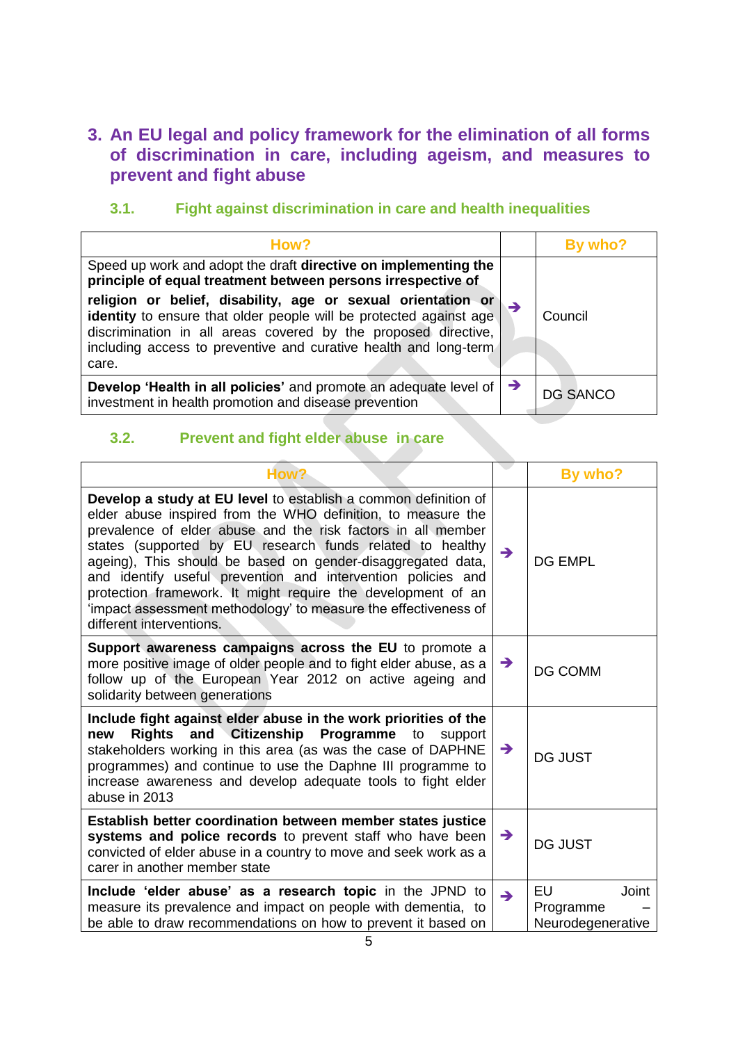#### **3. An EU legal and policy framework for the elimination of all forms of discrimination in care, including ageism, and measures to prevent and fight abuse**

#### **3.1. Fight against discrimination in care and health inequalities**

| How?                                                                                                                                                                                                                                                                              |               | By who?         |
|-----------------------------------------------------------------------------------------------------------------------------------------------------------------------------------------------------------------------------------------------------------------------------------|---------------|-----------------|
| Speed up work and adopt the draft directive on implementing the<br>principle of equal treatment between persons irrespective of                                                                                                                                                   |               |                 |
| religion or belief, disability, age or sexual orientation or<br>identity to ensure that older people will be protected against age<br>discrimination in all areas covered by the proposed directive,<br>including access to preventive and curative health and long-term<br>care. | $\rightarrow$ | Council         |
| <b>Develop 'Health in all policies'</b> and promote an adequate level of $\rightarrow$<br>investment in health promotion and disease prevention                                                                                                                                   |               | <b>DG SANCO</b> |

### **3.2. Prevent and fight elder abuse in care**

| How?                                                                                                                                                                                                                                                                                                                                                                                                                                                                                                                                                       |               | By who?                                       |
|------------------------------------------------------------------------------------------------------------------------------------------------------------------------------------------------------------------------------------------------------------------------------------------------------------------------------------------------------------------------------------------------------------------------------------------------------------------------------------------------------------------------------------------------------------|---------------|-----------------------------------------------|
| Develop a study at EU level to establish a common definition of<br>elder abuse inspired from the WHO definition, to measure the<br>prevalence of elder abuse and the risk factors in all member<br>states (supported by EU research funds related to healthy<br>ageing), This should be based on gender-disaggregated data,<br>and identify useful prevention and intervention policies and<br>protection framework. It might require the development of an<br>'impact assessment methodology' to measure the effectiveness of<br>different interventions. | $\rightarrow$ | <b>DG EMPL</b>                                |
| Support awareness campaigns across the EU to promote a<br>more positive image of older people and to fight elder abuse, as a<br>follow up of the European Year 2012 on active ageing and<br>solidarity between generations                                                                                                                                                                                                                                                                                                                                 | $\rightarrow$ | <b>DG COMM</b>                                |
| Include fight against elder abuse in the work priorities of the<br>and Citizenship Programme<br>Rights<br>new<br>to<br>support<br>stakeholders working in this area (as was the case of DAPHNE<br>programmes) and continue to use the Daphne III programme to<br>increase awareness and develop adequate tools to fight elder<br>abuse in 2013                                                                                                                                                                                                             | $\rightarrow$ | <b>DG JUST</b>                                |
| Establish better coordination between member states justice<br>systems and police records to prevent staff who have been<br>convicted of elder abuse in a country to move and seek work as a<br>carer in another member state                                                                                                                                                                                                                                                                                                                              | $\rightarrow$ | <b>DG JUST</b>                                |
| Include 'elder abuse' as a research topic in the JPND to<br>measure its prevalence and impact on people with dementia, to<br>be able to draw recommendations on how to prevent it based on                                                                                                                                                                                                                                                                                                                                                                 | $\rightarrow$ | EU<br>Joint<br>Programme<br>Neurodegenerative |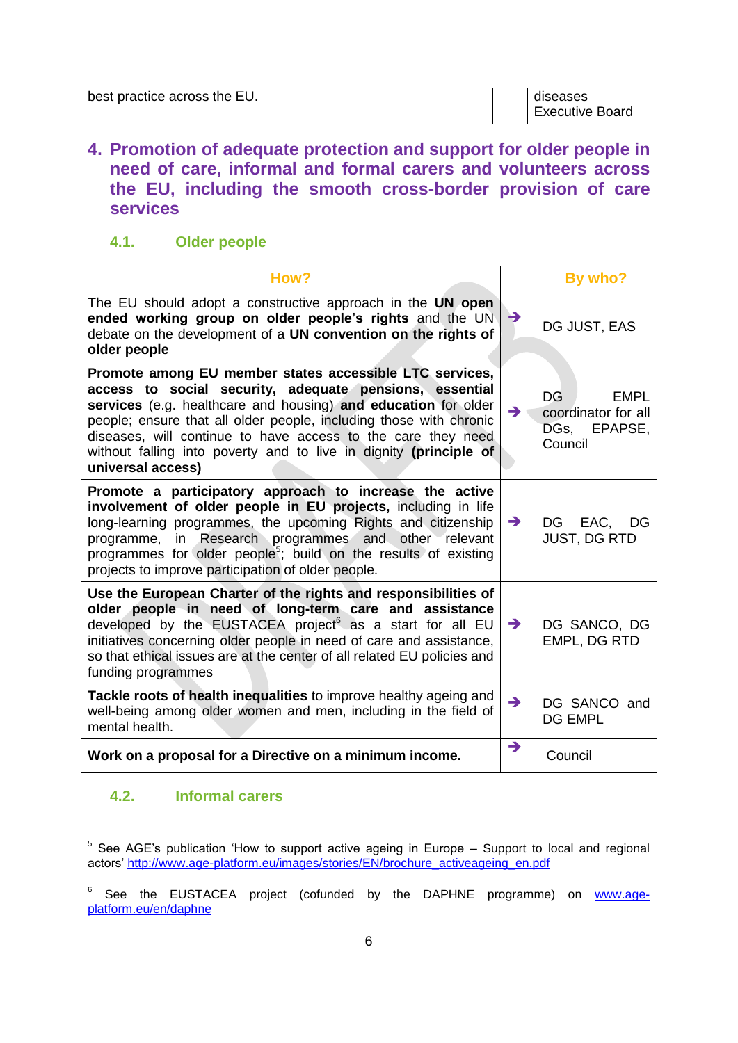| best practice across the EU. | diseases        |
|------------------------------|-----------------|
|                              | Executive Board |

#### **4. Promotion of adequate protection and support for older people in need of care, informal and formal carers and volunteers across the EU, including the smooth cross-border provision of care services**

#### **4.1. Older people**

| How?                                                                                                                                                                                                                                                                                                                                                                                                                 |               | By who?                                                                    |
|----------------------------------------------------------------------------------------------------------------------------------------------------------------------------------------------------------------------------------------------------------------------------------------------------------------------------------------------------------------------------------------------------------------------|---------------|----------------------------------------------------------------------------|
| The EU should adopt a constructive approach in the UN open<br>ended working group on older people's rights and the UN<br>debate on the development of a UN convention on the rights of<br>older people                                                                                                                                                                                                               | D             | DG JUST, EAS                                                               |
| Promote among EU member states accessible LTC services,<br>access to social security, adequate pensions, essential<br>services (e.g. healthcare and housing) and education for older<br>people; ensure that all older people, including those with chronic<br>diseases, will continue to have access to the care they need<br>without falling into poverty and to live in dignity (principle of<br>universal access) | $\rightarrow$ | <b>DG</b><br><b>EMPL</b><br>coordinator for all<br>DGs, EPAPSE,<br>Council |
| Promote a participatory approach to increase the active<br>involvement of older people in EU projects, including in life<br>long-learning programmes, the upcoming Rights and citizenship<br>programme, in Research programmes and other relevant<br>programmes for older people <sup>5</sup> ; build on the results of existing<br>projects to improve participation of older people.                               | $\rightarrow$ | DG EAC, DG<br><b>JUST, DG RTD</b>                                          |
| Use the European Charter of the rights and responsibilities of<br>older people in need of long-term care and assistance<br>developed by the EUSTACEA project <sup>6</sup> as a start for all EU<br>initiatives concerning older people in need of care and assistance,<br>so that ethical issues are at the center of all related EU policies and<br>funding programmes                                              | $\rightarrow$ | DG SANCO, DG<br><b>EMPL, DG RTD</b>                                        |
| Tackle roots of health inequalities to improve healthy ageing and<br>well-being among older women and men, including in the field of<br>mental health.                                                                                                                                                                                                                                                               | $\rightarrow$ | DG SANCO and<br><b>DG EMPL</b>                                             |
| Work on a proposal for a Directive on a minimum income.                                                                                                                                                                                                                                                                                                                                                              | $\rightarrow$ | Council                                                                    |

#### **4.2. Informal carers**

1

 $5$  See AGE's publication 'How to support active ageing in Europe  $-$  Support to local and regional actors' [http://www.age-platform.eu/images/stories/EN/brochure\\_activeageing\\_en.pdf](http://www.age-platform.eu/images/stories/EN/brochure_activeageing_en.pdf)

<sup>6</sup> See the EUSTACEA project (cofunded by the DAPHNE programme) on [www.age](http://www.age-platform.eu/en/daphne)[platform.eu/en/daphne](http://www.age-platform.eu/en/daphne)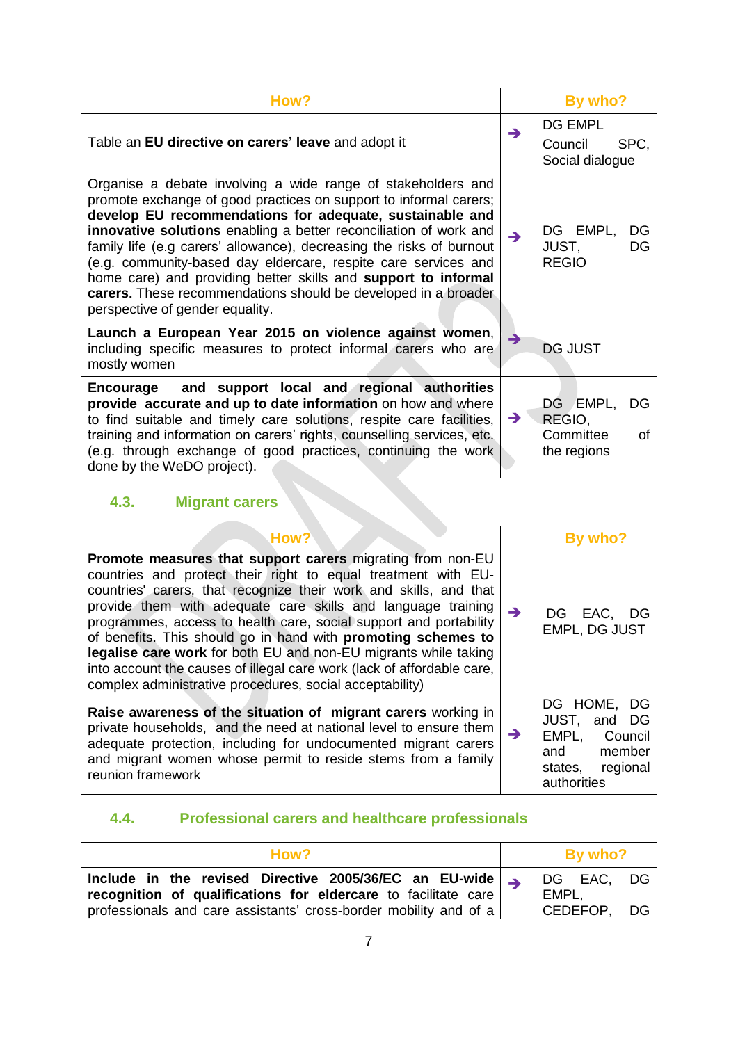| How?                                                                                                                                                                                                                                                                                                                                                                                                                                                                                                                                                                                |               | By who?                                                    |
|-------------------------------------------------------------------------------------------------------------------------------------------------------------------------------------------------------------------------------------------------------------------------------------------------------------------------------------------------------------------------------------------------------------------------------------------------------------------------------------------------------------------------------------------------------------------------------------|---------------|------------------------------------------------------------|
| Table an EU directive on carers' leave and adopt it                                                                                                                                                                                                                                                                                                                                                                                                                                                                                                                                 | $\rightarrow$ | <b>DG EMPL</b><br>SPC.<br>Council<br>Social dialogue       |
| Organise a debate involving a wide range of stakeholders and<br>promote exchange of good practices on support to informal carers;<br>develop EU recommendations for adequate, sustainable and<br>innovative solutions enabling a better reconciliation of work and<br>family life (e.g carers' allowance), decreasing the risks of burnout<br>(e.g. community-based day eldercare, respite care services and<br>home care) and providing better skills and support to informal<br>carers. These recommendations should be developed in a broader<br>perspective of gender equality. | $\rightarrow$ | DG EMPL,<br>DG<br>JUST,<br>DG<br><b>REGIO</b>              |
| Launch a European Year 2015 on violence against women,<br>including specific measures to protect informal carers who are<br>mostly women                                                                                                                                                                                                                                                                                                                                                                                                                                            | →             | <b>DG JUST</b>                                             |
| and support local and regional authorities<br><b>Encourage</b><br>provide accurate and up to date information on how and where<br>to find suitable and timely care solutions, respite care facilities,<br>training and information on carers' rights, counselling services, etc.<br>(e.g. through exchange of good practices, continuing the work<br>done by the WeDO project).                                                                                                                                                                                                     | $\rightarrow$ | DG EMPL,<br>DG<br>REGIO,<br>Committee<br>Ωf<br>the regions |

# **4.3. Migrant carers**

| How?                                                                                                                                                                                                                                                                                                                                                                                                                                                                                                                                                                                                                   |               | By who?                                                                                             |
|------------------------------------------------------------------------------------------------------------------------------------------------------------------------------------------------------------------------------------------------------------------------------------------------------------------------------------------------------------------------------------------------------------------------------------------------------------------------------------------------------------------------------------------------------------------------------------------------------------------------|---------------|-----------------------------------------------------------------------------------------------------|
| <b>Promote measures that support carers migrating from non-EU</b><br>countries and protect their right to equal treatment with EU-<br>countries' carers, that recognize their work and skills, and that<br>provide them with adequate care skills and language training<br>programmes, access to health care, social support and portability<br>of benefits. This should go in hand with promoting schemes to<br>legalise care work for both EU and non-EU migrants while taking<br>into account the causes of illegal care work (lack of affordable care,<br>complex administrative procedures, social acceptability) | $\rightarrow$ | DG EAC, DG<br><b>EMPL, DG JUST</b>                                                                  |
| Raise awareness of the situation of migrant carers working in<br>private households, and the need at national level to ensure them<br>adequate protection, including for undocumented migrant carers<br>and migrant women whose permit to reside stems from a family<br>reunion framework                                                                                                                                                                                                                                                                                                                              | $\rightarrow$ | DG HOME, DG<br>JUST, and DG<br>EMPL, Council<br>member<br>and<br>regional<br>states,<br>authorities |

## **4.4. Professional carers and healthcare professionals**

| How?                                                                                                                                   |          | By who?    |           |
|----------------------------------------------------------------------------------------------------------------------------------------|----------|------------|-----------|
| Include in the revised Directive 2005/36/EC an EU-wide $\rightarrow$<br>recognition of qualifications for eldercare to facilitate care | EMPL,    | DG EAC, DG |           |
| professionals and care assistants' cross-border mobility and of a                                                                      | CEDEFOP, |            | $DG \mid$ |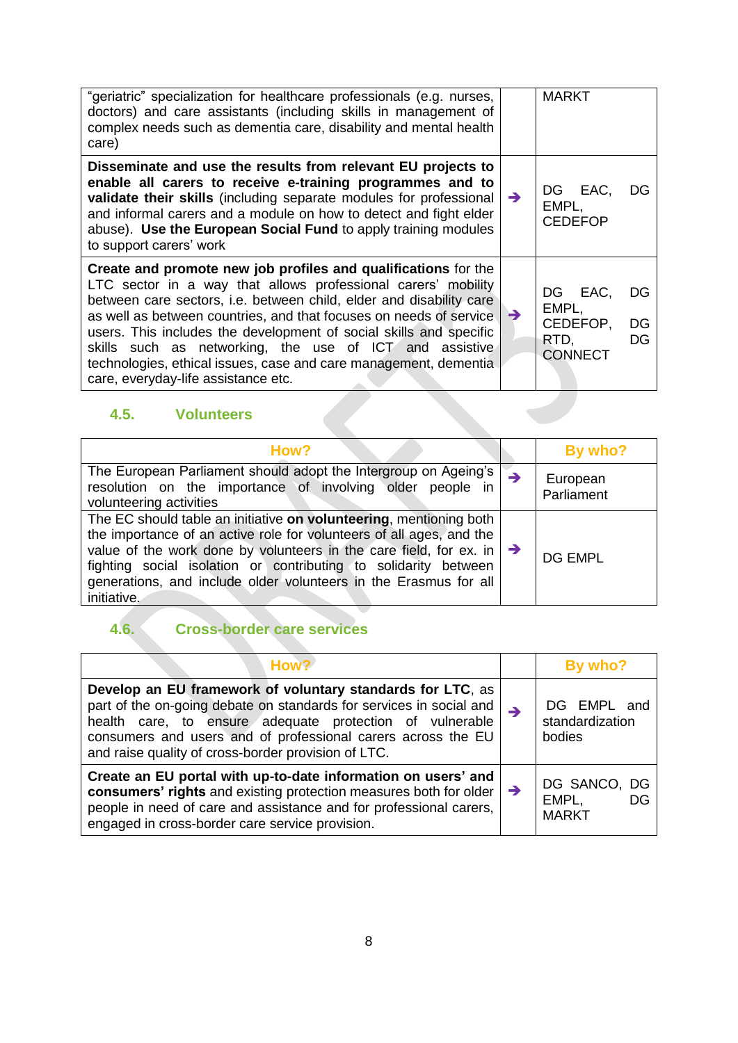| "geriatric" specialization for healthcare professionals (e.g. nurses,<br>doctors) and care assistants (including skills in management of<br>complex needs such as dementia care, disability and mental health<br>care)                                                                                                                                                                                                                                                                                                   |               | <b>MARKT</b>                                                             |
|--------------------------------------------------------------------------------------------------------------------------------------------------------------------------------------------------------------------------------------------------------------------------------------------------------------------------------------------------------------------------------------------------------------------------------------------------------------------------------------------------------------------------|---------------|--------------------------------------------------------------------------|
| Disseminate and use the results from relevant EU projects to<br>enable all carers to receive e-training programmes and to<br>validate their skills (including separate modules for professional<br>and informal carers and a module on how to detect and fight elder<br>abuse). Use the European Social Fund to apply training modules<br>to support carers' work                                                                                                                                                        | $\rightarrow$ | DG EAC,<br>DG<br>EMPL,<br><b>CEDEFOP</b>                                 |
| Create and promote new job profiles and qualifications for the<br>LTC sector in a way that allows professional carers' mobility<br>between care sectors, i.e. between child, elder and disability care<br>as well as between countries, and that focuses on needs of service<br>users. This includes the development of social skills and specific<br>skills such as networking, the use of ICT and assistive<br>technologies, ethical issues, case and care management, dementia<br>care, everyday-life assistance etc. | $\rightarrow$ | DG EAC,<br>DG<br>EMPL,<br>CEDEFOP,<br>DG<br>RTD,<br>DG<br><b>CONNECT</b> |

# **4.5. Volunteers**

| How?                                                                                                                                                                                                                                                                                                                                                                                 |               | By who?                |
|--------------------------------------------------------------------------------------------------------------------------------------------------------------------------------------------------------------------------------------------------------------------------------------------------------------------------------------------------------------------------------------|---------------|------------------------|
| The European Parliament should adopt the Intergroup on Ageing's<br>resolution on the importance of involving older people in<br>volunteering activities                                                                                                                                                                                                                              | $\rightarrow$ | European<br>Parliament |
| The EC should table an initiative on volunteering, mentioning both<br>the importance of an active role for volunteers of all ages, and the<br>value of the work done by volunteers in the care field, for ex. in $\rightarrow$<br>fighting social isolation or contributing to solidarity between<br>generations, and include older volunteers in the Erasmus for all<br>initiative. |               | <b>DG EMPL</b>         |

# **4.6. Cross-border care services**

| How?                                                                                                                                                                                                                                                                                                                 | By who?                                     |
|----------------------------------------------------------------------------------------------------------------------------------------------------------------------------------------------------------------------------------------------------------------------------------------------------------------------|---------------------------------------------|
| Develop an EU framework of voluntary standards for LTC, as<br>part of the on-going debate on standards for services in social and<br>health care, to ensure adequate protection of vulnerable<br>consumers and users and of professional carers across the EU<br>and raise quality of cross-border provision of LTC. | DG EMPL and<br>standardization<br>bodies    |
| Create an EU portal with up-to-date information on users' and<br>consumers' rights and existing protection measures both for older<br>people in need of care and assistance and for professional carers,<br>engaged in cross-border care service provision.                                                          | DG SANCO, DG<br>EMPL,<br>DG<br><b>MARKT</b> |